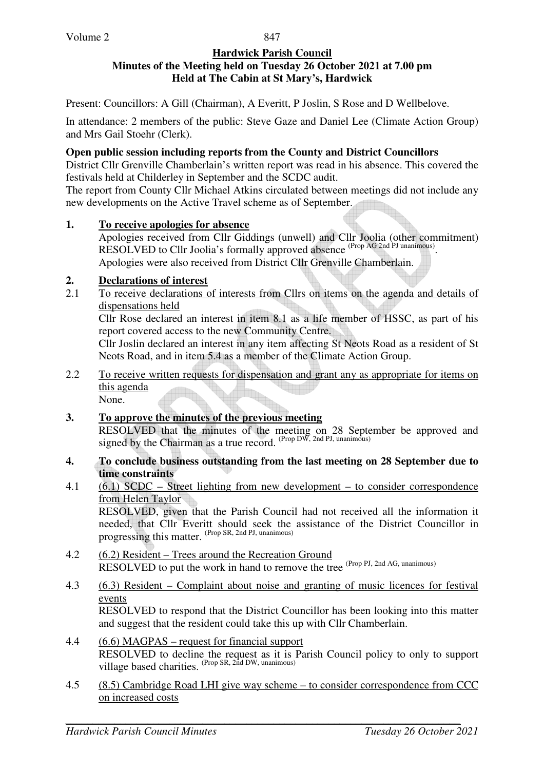#### **Hardwick Parish Council Minutes of the Meeting held on Tuesday 26 October 2021 at 7.00 pm Held at The Cabin at St Mary's, Hardwick**

Present: Councillors: A Gill (Chairman), A Everitt, P Joslin, S Rose and D Wellbelove.

In attendance: 2 members of the public: Steve Gaze and Daniel Lee (Climate Action Group) and Mrs Gail Stoehr (Clerk).

### **Open public session including reports from the County and District Councillors**

District Cllr Grenville Chamberlain's written report was read in his absence. This covered the festivals held at Childerley in September and the SCDC audit.

The report from County Cllr Michael Atkins circulated between meetings did not include any new developments on the Active Travel scheme as of September.

#### **1. To receive apologies for absence**

Apologies received from Cllr Giddings (unwell) and Cllr Joolia (other commitment) RESOLVED to Cllr Joolia's formally approved absence <sup>(Prop AG 2nd PJ unanimous)</sup>. Apologies were also received from District Cllr Grenville Chamberlain.

## **2. Declarations of interest**

2.1 To receive declarations of interests from Cllrs on items on the agenda and details of dispensations held

Cllr Rose declared an interest in item 8.1 as a life member of HSSC, as part of his report covered access to the new Community Centre.

Cllr Joslin declared an interest in any item affecting St Neots Road as a resident of St Neots Road, and in item 5.4 as a member of the Climate Action Group.

2.2 To receive written requests for dispensation and grant any as appropriate for items on this agenda None.

## **3. To approve the minutes of the previous meeting**  RESOLVED that the minutes of the meeting on 28 September be approved and signed by the Chairman as a true record.  $P_{\text{rop}}$  DW, 2nd PJ, unanimous)

- **4. To conclude business outstanding from the last meeting on 28 September due to time constraints**
- 4.1 (6.1) SCDC Street lighting from new development to consider correspondence from Helen Taylor

 RESOLVED, given that the Parish Council had not received all the information it needed, that Cllr Everitt should seek the assistance of the District Councillor in progressing this matter. (Prop SR, 2nd PJ, unanimous)

- 4.2 (6.2) Resident Trees around the Recreation Ground RESOLVED to put the work in hand to remove the tree <sup>(Prop PJ, 2nd AG, unanimous)</sup>
- 4.3 (6.3) Resident Complaint about noise and granting of music licences for festival events

 RESOLVED to respond that the District Councillor has been looking into this matter and suggest that the resident could take this up with Cllr Chamberlain.

- 4.4 (6.6) MAGPAS request for financial support RESOLVED to decline the request as it is Parish Council policy to only to support village based charities. (Prop SR, 2nd DW, unanimous)
- 4.5 (8.5) Cambridge Road LHI give way scheme to consider correspondence from CCC on increased costs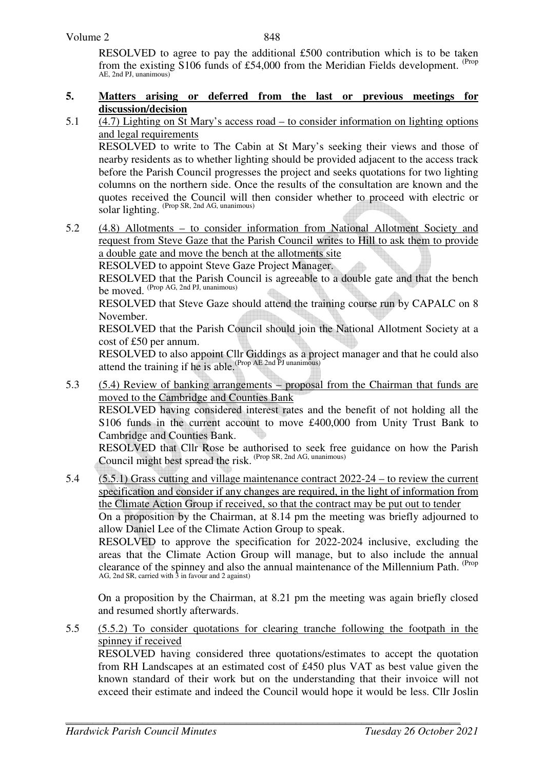#### Volume 2

848

 RESOLVED to agree to pay the additional £500 contribution which is to be taken from the existing S106 funds of £54,000 from the Meridian Fields development. <sup>(Prop</sup> AE, 2nd PJ, unanimous)

#### **5. Matters arising or deferred from the last or previous meetings for discussion/decision**

5.1 (4.7) Lighting on St Mary's access road – to consider information on lighting options and legal requirements

RESOLVED to write to The Cabin at St Mary's seeking their views and those of nearby residents as to whether lighting should be provided adjacent to the access track before the Parish Council progresses the project and seeks quotations for two lighting columns on the northern side. Once the results of the consultation are known and the quotes received the Council will then consider whether to proceed with electric or solar lighting. (Prop SR, 2nd AG, unanimous)

5.2 (4.8) Allotments – to consider information from National Allotment Society and request from Steve Gaze that the Parish Council writes to Hill to ask them to provide a double gate and move the bench at the allotments site

RESOLVED to appoint Steve Gaze Project Manager.

 RESOLVED that the Parish Council is agreeable to a double gate and that the bench be moved. (Prop AG, 2nd PJ, unanimous)

RESOLVED that Steve Gaze should attend the training course run by CAPALC on 8 November.

RESOLVED that the Parish Council should join the National Allotment Society at a cost of £50 per annum.

RESOLVED to also appoint Cllr Giddings as a project manager and that he could also attend the training if he is able.<sup>(Prop AE 2nd PJ unanimous)</sup>

5.3 (5.4) Review of banking arrangements – proposal from the Chairman that funds are moved to the Cambridge and Counties Bank

RESOLVED having considered interest rates and the benefit of not holding all the S106 funds in the current account to move £400,000 from Unity Trust Bank to Cambridge and Counties Bank.

RESOLVED that Cllr Rose be authorised to seek free guidance on how the Parish Council might best spread the risk. <sup>(Prop SR, 2nd AG, unanimous)</sup>

5.4 (5.5.1) Grass cutting and village maintenance contract 2022-24 – to review the current specification and consider if any changes are required, in the light of information from the Climate Action Group if received, so that the contract may be put out to tender

On a proposition by the Chairman, at 8.14 pm the meeting was briefly adjourned to allow Daniel Lee of the Climate Action Group to speak.

RESOLVED to approve the specification for 2022-2024 inclusive, excluding the areas that the Climate Action Group will manage, but to also include the annual clearance of the spinney and also the annual maintenance of the Millennium Path. (Prop AG, 2nd SR, carried with 3 in favour and 2 against)

 On a proposition by the Chairman, at 8.21 pm the meeting was again briefly closed and resumed shortly afterwards.

5.5 (5.5.2) To consider quotations for clearing tranche following the footpath in the spinney if received

 RESOLVED having considered three quotations/estimates to accept the quotation from RH Landscapes at an estimated cost of £450 plus VAT as best value given the known standard of their work but on the understanding that their invoice will not exceed their estimate and indeed the Council would hope it would be less. Cllr Joslin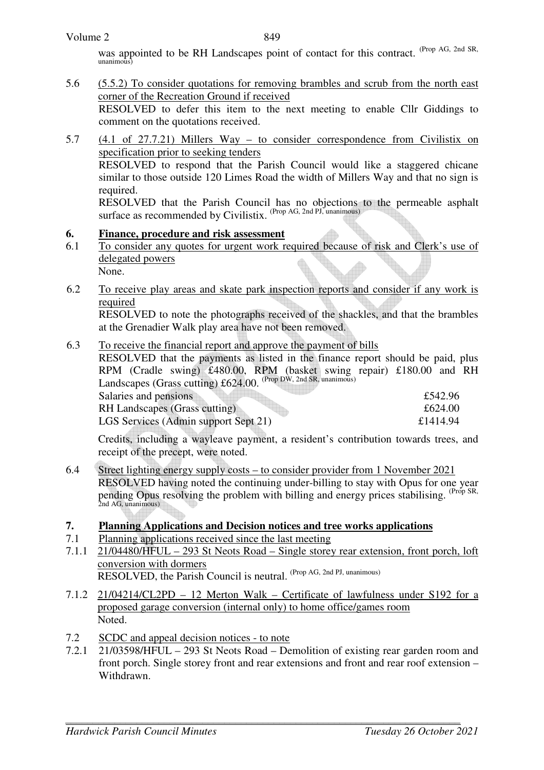was appointed to be RH Landscapes point of contact for this contract. (Prop AG, 2nd SR,  $\lim_{n \to \infty}$ 

5.6 (5.5.2) To consider quotations for removing brambles and scrub from the north east corner of the Recreation Ground if received

RESOLVED to defer this item to the next meeting to enable Cllr Giddings to comment on the quotations received.

5.7 (4.1 of 27.7.21) Millers Way – to consider correspondence from Civilistix on specification prior to seeking tenders

 RESOLVED to respond that the Parish Council would like a staggered chicane similar to those outside 120 Limes Road the width of Millers Way and that no sign is required.

 RESOLVED that the Parish Council has no objections to the permeable asphalt surface as recommended by Civilistix. <sup>(Prop AG, 2nd PJ, unanimous)</sup>

## **6. Finance, procedure and risk assessment**

- 6.1 To consider any quotes for urgent work required because of risk and Clerk's use of delegated powers None.
- 6.2 To receive play areas and skate park inspection reports and consider if any work is required

RESOLVED to note the photographs received of the shackles, and that the brambles at the Grenadier Walk play area have not been removed.

## 6.3 To receive the financial report and approve the payment of bills

RESOLVED that the payments as listed in the finance report should be paid, plus RPM (Cradle swing) £480.00, RPM (basket swing repair) £180.00 and RH Landscapes (Grass cutting)  $£624.00.$  (Prop DW, 2nd SR, unanimous)

| Salaries and pensions                | £542.96  |
|--------------------------------------|----------|
| RH Landscapes (Grass cutting)        | £624.00  |
| LGS Services (Admin support Sept 21) | £1414.94 |

Credits, including a wayleave payment, a resident's contribution towards trees, and receipt of the precept, were noted.

6.4 Street lighting energy supply costs – to consider provider from 1 November 2021 RESOLVED having noted the continuing under-billing to stay with Opus for one year pending Opus resolving the problem with billing and energy prices stabilising. <sup>(Prop SR, 2nd AG, unanimous)</sup>

## **7. Planning Applications and Decision notices and tree works applications**

- 7.1 Planning applications received since the last meeting
- 7.1.1 21/04480/HFUL 293 St Neots Road Single storey rear extension, front porch, loft conversion with dormers RESOLVED, the Parish Council is neutral. (Prop AG, 2nd PJ, unanimous)
- 7.1.2 21/04214/CL2PD 12 Merton Walk Certificate of lawfulness under S192 for a proposed garage conversion (internal only) to home office/games room Noted.
- 7.2 SCDC and appeal decision notices to note
- 7.2.1 21/03598/HFUL 293 St Neots Road Demolition of existing rear garden room and front porch. Single storey front and rear extensions and front and rear roof extension – Withdrawn.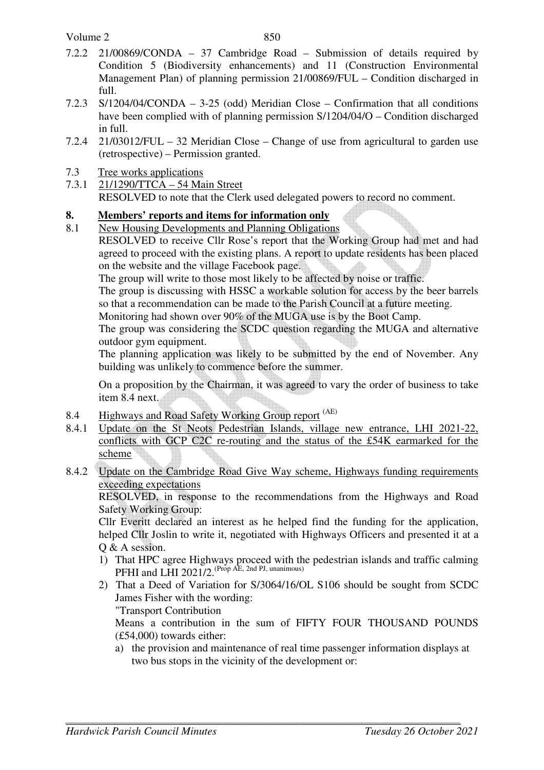- 7.2.2 21/00869/CONDA 37 Cambridge Road Submission of details required by Condition 5 (Biodiversity enhancements) and 11 (Construction Environmental Management Plan) of planning permission 21/00869/FUL – Condition discharged in full.
- 7.2.3 S/1204/04/CONDA 3-25 (odd) Meridian Close Confirmation that all conditions have been complied with of planning permission S/1204/04/O – Condition discharged in full.
- 7.2.4 21/03012/FUL 32 Meridian Close Change of use from agricultural to garden use (retrospective) – Permission granted.
- 7.3 Tree works applications
- 7.3.1 21/1290/TTCA 54 Main Street RESOLVED to note that the Clerk used delegated powers to record no comment.

# **8. Members' reports and items for information only**

8.1 New Housing Developments and Planning Obligations

RESOLVED to receive Cllr Rose's report that the Working Group had met and had agreed to proceed with the existing plans. A report to update residents has been placed on the website and the village Facebook page.

The group will write to those most likely to be affected by noise or traffic.

The group is discussing with HSSC a workable solution for access by the beer barrels so that a recommendation can be made to the Parish Council at a future meeting.

Monitoring had shown over 90% of the MUGA use is by the Boot Camp.

The group was considering the SCDC question regarding the MUGA and alternative outdoor gym equipment.

The planning application was likely to be submitted by the end of November. Any building was unlikely to commence before the summer.

On a proposition by the Chairman, it was agreed to vary the order of business to take item 8.4 next.

- 8.4 Highways and Road Safety Working Group report <sup>(AE)</sup>
- 8.4.1 Update on the St Neots Pedestrian Islands, village new entrance, LHI 2021-22, conflicts with GCP C2C re-routing and the status of the £54K earmarked for the scheme
- 8.4.2 Update on the Cambridge Road Give Way scheme, Highways funding requirements exceeding expectations

RESOLVED, in response to the recommendations from the Highways and Road Safety Working Group:

Cllr Everitt declared an interest as he helped find the funding for the application, helped Cllr Joslin to write it, negotiated with Highways Officers and presented it at a O & A session.

- 1) That HPC agree Highways proceed with the pedestrian islands and traffic calming PFHI and LHI 2021/2. (Prop AE, 2nd PJ, unanimous)
- 2) That a Deed of Variation for S/3064/16/OL S106 should be sought from SCDC James Fisher with the wording: "Transport Contribution

Means a contribution in the sum of FIFTY FOUR THOUSAND POUNDS (£54,000) towards either:

a) the provision and maintenance of real time passenger information displays at two bus stops in the vicinity of the development or: